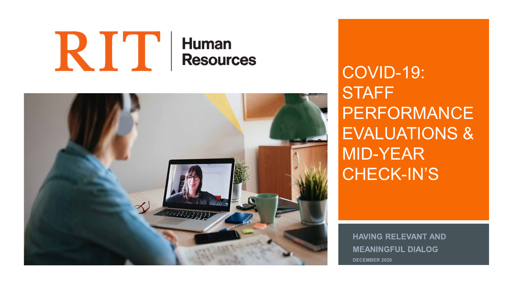### RIT **Human Resources**



COVID-19: **STAFF** PERFORMANCE EVALUATIONS & MID-YEAR CHECK-IN'S

**HAVING RELEVANT AND MEANINGFUL DIALOG DECEMBER 2020**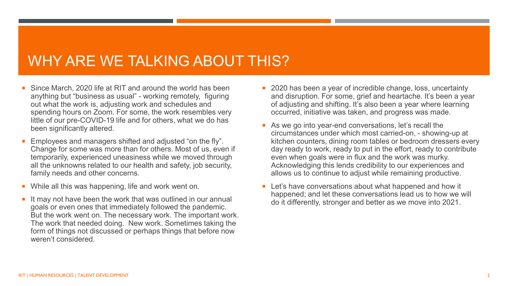## WHY ARE WE TALKING ABOUT THIS?

- Since March, 2020 life at RIT and around the world has been anything but "business as usual" - working remotely, figuring out what the work is, adjusting work and schedules and spending hours on Zoom. For some, the work resembles very little of our pre-COVID-19 life and for others, what we do has been significantly altered.
- Employees and managers shifted and adjusted "on the fly". Change for some was more than for others. Most of us, even if temporarily, experienced uneasiness while we moved through all the unknowns related to our health and safety, job security, family needs and other concerns.
- While all this was happening, life and work went on.
- $\blacksquare$  It may not have been the work that was outlined in our annual goals or even ones that immediately followed the pandemic. But the work went on. The necessary work. The important work. The work that needed doing. New work. Sometimes taking the form of things not discussed or perhaps things that before now weren't considered.
- 2020 has been a year of incredible change, loss, uncertainty and disruption. For some, grief and heartache. It's been a year of adjusting and shifting. It's also been a year where learning occurred, initiative was taken, and progress was made.
- As we go into year-end conversations, let's recall the circumstances under which most carried-on, - showing-up at kitchen counters, dining room tables or bedroom dressers every day ready to work, ready to put in the effort, ready to contribute even when goals were in flux and the work was murky. Acknowledging this lends credibility to our experiences and allows us to continue to adjust while remaining productive.
- **EXTER** Let's have conversations about what happened and how it happened; and let these conversations lead us to how we will do it differently, stronger and better as we move into 2021.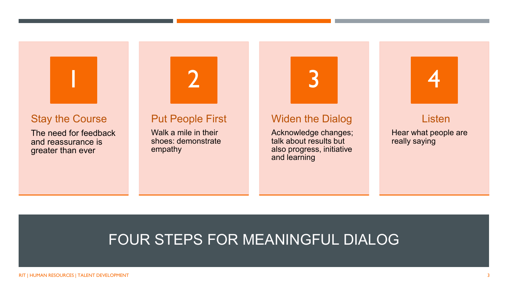

#### Stay the Course

The need for feedback and reassurance is greater than ever

#### Put People First

2

Walk a mile in their shoes: demonstrate empathy



### Widen the Dialog

Acknowledge changes; talk about results but also progress, initiative and learning



#### Listen

Hear what people are really saying

## FOUR STEPS FOR MEANINGFUL DIALOG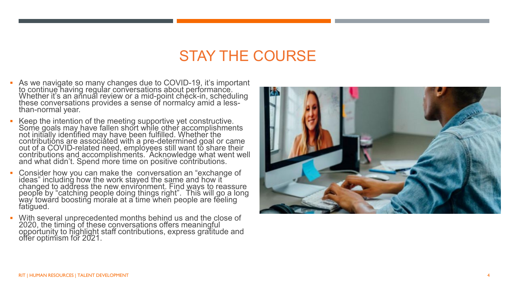## STAY THE COURSE

- As we navigate so many changes due to COVID -19, it's important to continue having regular conversations about performance. Whether it's an añnuăl review or a mid-point check-in, scheduling<br>these conversations provides a sense of normalcy amid a less-<br>than-normal year.
- Keep the intention of the meeting supportive yet constructive. Some goals may have fallen short while other accomplishments not initially identified may have been fulfilled. Whether the contributións are associáted with a pre-determined goal or came<br>out of a COVID-related need, employees still want to share their<br>contributions and accomplishments. Acknowledge what went well and what didn't. Spend more time on positive contributions.
- Consider how you can make the conversation an "exchange of ideas" including how the work stayed the same and how it changed to address the new environment. Find <u>w</u>ays to reassure people by "catching people doing things right". This will go a long way toward boosting morale at a time when people are feeling fatigued.
- With several unprecedented months behind us and the close of 2020, the timing of these conversations offers meaningful<br>opportunity to highlight staff contributions, express gratitude and<br>offer optimism for 2021.

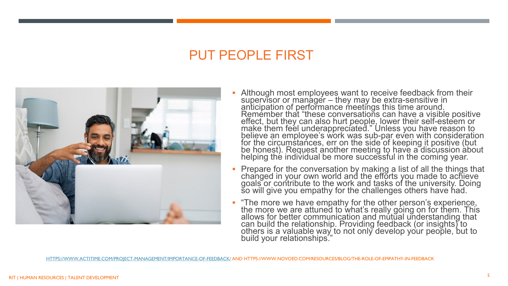### PUT PEOPLE FIRST



- **-** Although most employees want to receive feedback from their supervisor or manager – they may be extra-sensitive in anticipation of performance meetings this time around. Remember that "these conversations can have a visible positive effect, but they can also hurt people, lower their self-esteem or make them feel underappreciated." Unless you have reason to believe an employee's work was sub-par even with consideration for the circumstances, err on the side of keeping it positive (but<br>be honest). Request another meeting to have a discussion about helping thé individual be more successful in the coming year.
- Prepare for the conversation by making a list of all the things that changed in your own world and the efforts you made to achieve goals or contribute to the work and tasks of the university. Doing so will give you empathy for the challenges others have had.
- "The more we have empathy for the other person's experience, the more we are attuned to what's really going on for them. This allows for better communication and mutual understanding that can build the relationship. Providing feedback (or insights) to others is a valuable way to not only develop your people, but to build your relationships."

[HTTPS://WWW.ACTITIME.COM/PROJECT-MANAGEMENT/IMPORTANCE-OF-FEEDBACK/](https://www.actitime.com/project-management/importance-of-feedback/) AND HTTPS://WWW.NOVOED.COM/RESOURCES/BLOG/THE-ROLE-OF-EMPATHY-IN-FEEDBACK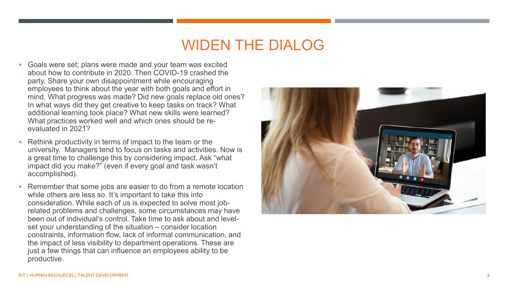## WIDEN THE DIALOG

- Goals were set; plans were made and your team was excited about how to contribute in 2020. Then COVID -19 crashed the party. Share your own disappointment while encouraging employees to think about the year with both goals and effort in mind. What progress was made? Did new goals replace old ones? In what ways did they get creative to keep tasks on track? What additional learning took place? What new skills were learned? What practices worked well and which ones should be re evaluated in 2021?
- Rethink productivity in terms of impact to the team or the university. Managers tend to focus on tasks and activities. Now is a great time to challenge this by considering impact. Ask "what impact did you make?" (even if every goal and task wasn't accomplished).
- Remember that some jobs are easier to do from a remote location while others are less so. It's important to take this into consideration. While each of us is expected to solve most job related problems and challenges, some circumstances may have been out of individual's control. Take time to ask about and level set your understanding of the situation – consider location constraints, information flow, lack of informal communication, and the impact of less visibility to department operations. These are just a few things that can influence an employees ability to be productive.

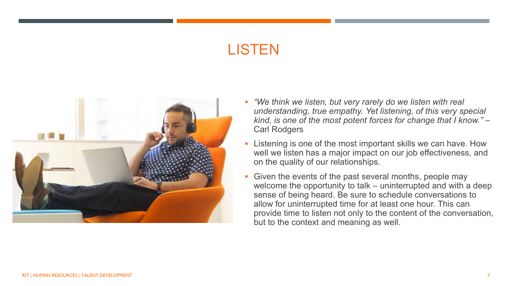# **LISTEN**



- *"We think we listen, but very rarely do we listen with real understanding, true empathy. Yet listening, of this very special kind, is one of the most potent forces for change that I know."* – Carl Rodgers
- Listening is one of the most important skills we can have. How well we listen has a major impact on our job effectiveness, and on the quality of our relationships.
- Given the events of the past several months, people may welcome the opportunity to talk – uninterrupted and with a deep sense of being heard. Be sure to schedule conversations to allow for uninterrupted time for at least one hour. This can provide time to listen not only to the content of the conversation, but to the context and meaning as well.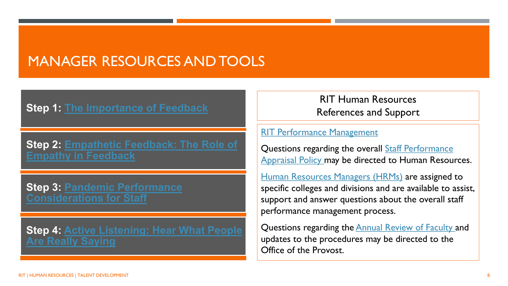## MANAGER RESOURCES AND TOOLS

### **Step 1: [The Importance of Feedback](https://www.actitime.com/project-management/importance-of-feedback/)**

**[Step 2: Empathetic Feedback: The Role of](https://www.novoed.com/resources/blog/the-role-of-empathy-in-feedback/)  Empathy in Feedback**

**[Step 3: Pandemic Performance](https://www.rit.edu/fa/humanresources/sites/rit.edu.fa.humanresources/files/docs/Staff%20Pandemic%20Performance%20Considerations.pdf)  Considerations for Staff**

**[Step 4: Active Listening: Hear What People](https://www.mindtools.com/CommSkll/ActiveListening.htm)  Are Really Saying**

RIT Human Resources References and Support

#### [RIT Performance Management](https://www.rit.edu/fa/humanresources/performancemgmt)

Questions regarding the overall **Staff Performance** [Appraisal Policy may be directed to Human Resou](https://www.rit.edu/academicaffairs/policiesmanual/e270)rces.

[Human Resources Managers \(HRMs\)](https://www.rit.edu/fa/humanresources/content/hr-services) are assigned to specific colleges and divisions and are available to assist, support and answer questions about the overall staff performance management process.

Questions regarding the **Annual Review of Faculty and** updates to the procedures may be directed to the Office of the Provost.